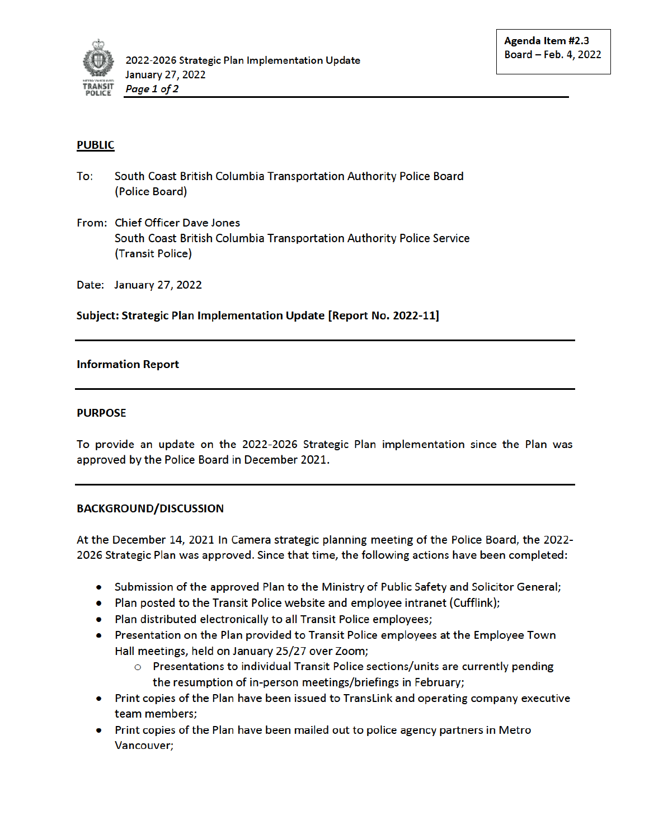

## **PUBLIC**

- To: South Coast British Columbia Transportation Authority Police Board (Police Board)
- From: Chief Officer Dave Jones South Coast British Columbia Transportation Authority Police Service (Transit Police)

Date: January 27, 2022

Subject: Strategic Plan Implementation Update [Report No. 2022-11]

### **Information Report**

#### **PURPOSE**

To provide an update on the 2022-2026 Strategic Plan implementation since the Plan was approved by the Police Board in December 2021.

#### **BACKGROUND/DISCUSSION**

At the December 14, 2021 In Camera strategic planning meeting of the Police Board, the 2022-2026 Strategic Plan was approved. Since that time, the following actions have been completed:

- Submission of the approved Plan to the Ministry of Public Safety and Solicitor General;
- Plan posted to the Transit Police website and employee intranet (Cufflink);
- Plan distributed electronically to all Transit Police employees;
- Presentation on the Plan provided to Transit Police employees at the Employee Town Hall meetings, held on January 25/27 over Zoom;
	- $\circ$  Presentations to individual Transit Police sections/units are currently pending the resumption of in-person meetings/briefings in February;
- Print copies of the Plan have been issued to TransLink and operating company executive team members:
- Print copies of the Plan have been mailed out to police agency partners in Metro Vancouver;